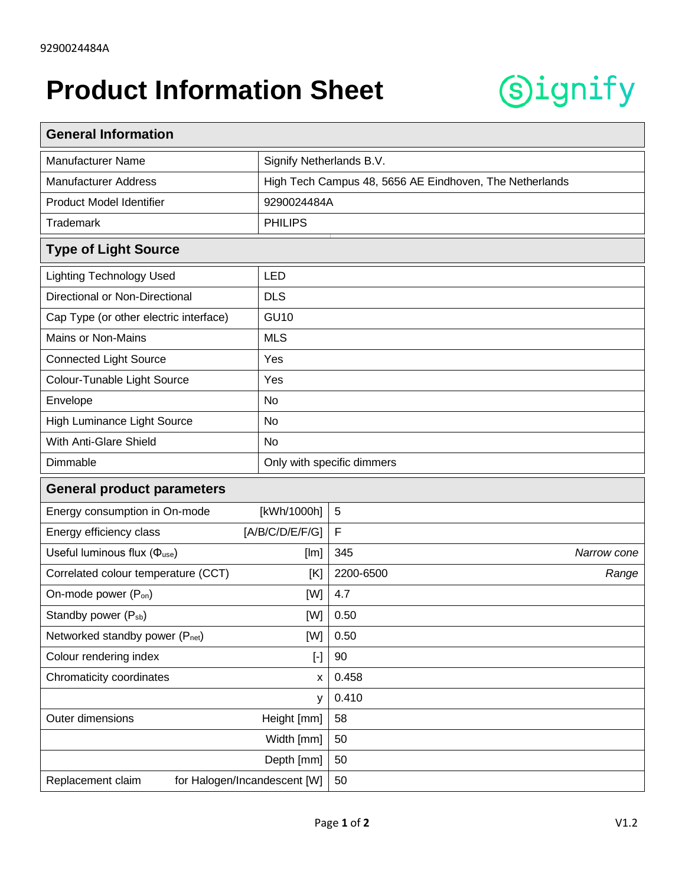## **Product Information Sheet**



| <b>General Information</b>                                                                                                                                                                                                                                                                                                                                                                                                                                                                                                                                                                                                                                                                                                                                                                                 |                                                         |                |             |  |
|------------------------------------------------------------------------------------------------------------------------------------------------------------------------------------------------------------------------------------------------------------------------------------------------------------------------------------------------------------------------------------------------------------------------------------------------------------------------------------------------------------------------------------------------------------------------------------------------------------------------------------------------------------------------------------------------------------------------------------------------------------------------------------------------------------|---------------------------------------------------------|----------------|-------------|--|
| <b>Manufacturer Name</b>                                                                                                                                                                                                                                                                                                                                                                                                                                                                                                                                                                                                                                                                                                                                                                                   | Signify Netherlands B.V.                                |                |             |  |
| <b>Manufacturer Address</b>                                                                                                                                                                                                                                                                                                                                                                                                                                                                                                                                                                                                                                                                                                                                                                                | High Tech Campus 48, 5656 AE Eindhoven, The Netherlands |                |             |  |
| Product Model Identifier                                                                                                                                                                                                                                                                                                                                                                                                                                                                                                                                                                                                                                                                                                                                                                                   | 9290024484A                                             |                |             |  |
| <b>Trademark</b>                                                                                                                                                                                                                                                                                                                                                                                                                                                                                                                                                                                                                                                                                                                                                                                           | <b>PHILIPS</b>                                          |                |             |  |
| <b>Type of Light Source</b>                                                                                                                                                                                                                                                                                                                                                                                                                                                                                                                                                                                                                                                                                                                                                                                |                                                         |                |             |  |
| <b>Lighting Technology Used</b>                                                                                                                                                                                                                                                                                                                                                                                                                                                                                                                                                                                                                                                                                                                                                                            | <b>LED</b>                                              |                |             |  |
| Directional or Non-Directional                                                                                                                                                                                                                                                                                                                                                                                                                                                                                                                                                                                                                                                                                                                                                                             | <b>DLS</b>                                              |                |             |  |
| Cap Type (or other electric interface)                                                                                                                                                                                                                                                                                                                                                                                                                                                                                                                                                                                                                                                                                                                                                                     | <b>GU10</b>                                             |                |             |  |
| <b>Mains or Non-Mains</b>                                                                                                                                                                                                                                                                                                                                                                                                                                                                                                                                                                                                                                                                                                                                                                                  | <b>MLS</b>                                              |                |             |  |
| <b>Connected Light Source</b>                                                                                                                                                                                                                                                                                                                                                                                                                                                                                                                                                                                                                                                                                                                                                                              | Yes                                                     |                |             |  |
| Colour-Tunable Light Source                                                                                                                                                                                                                                                                                                                                                                                                                                                                                                                                                                                                                                                                                                                                                                                | Yes                                                     |                |             |  |
| Envelope                                                                                                                                                                                                                                                                                                                                                                                                                                                                                                                                                                                                                                                                                                                                                                                                   | <b>No</b>                                               |                |             |  |
| High Luminance Light Source                                                                                                                                                                                                                                                                                                                                                                                                                                                                                                                                                                                                                                                                                                                                                                                | No                                                      |                |             |  |
| With Anti-Glare Shield                                                                                                                                                                                                                                                                                                                                                                                                                                                                                                                                                                                                                                                                                                                                                                                     | <b>No</b>                                               |                |             |  |
| Dimmable                                                                                                                                                                                                                                                                                                                                                                                                                                                                                                                                                                                                                                                                                                                                                                                                   | Only with specific dimmers                              |                |             |  |
| <b>General product parameters</b>                                                                                                                                                                                                                                                                                                                                                                                                                                                                                                                                                                                                                                                                                                                                                                          |                                                         |                |             |  |
| Energy consumption in On-mode                                                                                                                                                                                                                                                                                                                                                                                                                                                                                                                                                                                                                                                                                                                                                                              | [kWh/1000h]                                             | $\overline{5}$ |             |  |
| Energy efficiency class<br>[A/B/C/D/E/F/G]                                                                                                                                                                                                                                                                                                                                                                                                                                                                                                                                                                                                                                                                                                                                                                 |                                                         | $\mathsf F$    |             |  |
| Useful luminous flux ( $\Phi_{use}$ )<br>[Im]                                                                                                                                                                                                                                                                                                                                                                                                                                                                                                                                                                                                                                                                                                                                                              |                                                         | 345            | Narrow cone |  |
| Correlated colour temperature (CCT)<br>[K]                                                                                                                                                                                                                                                                                                                                                                                                                                                                                                                                                                                                                                                                                                                                                                 |                                                         | 2200-6500      | Range       |  |
| On-mode power (P <sub>on</sub> )<br>[W]                                                                                                                                                                                                                                                                                                                                                                                                                                                                                                                                                                                                                                                                                                                                                                    |                                                         | 4.7            |             |  |
| Standby power (P <sub>sb</sub> )<br>[W]                                                                                                                                                                                                                                                                                                                                                                                                                                                                                                                                                                                                                                                                                                                                                                    |                                                         | 0.50           |             |  |
| Networked standby power (Pnet)<br>[W]                                                                                                                                                                                                                                                                                                                                                                                                                                                                                                                                                                                                                                                                                                                                                                      |                                                         | 0.50           |             |  |
| Colour rendering index<br>$[\cdot] % \centering \includegraphics[width=0.9\textwidth]{images/TrDiS/N-Architecture.png} % \caption{The first two different values of $N$ in the \mbox{thick model} and the second two different values of $N$ in the \mbox{thick model} and the second two different values of $N$ in the \mbox{thick model} and the second two different values of $N$ in the \mbox{thick model} and the second two different values of $N$ in the \mbox{thick model} and the second two different values of $N$ in the \mbox{thick model} and the third two different values of $N$ in the \mbox{thick model} and the third two different values of $N$ in the \mbox{thick model} and the third two different values of $N$ in the \mbox{thick model} and the third two different values$ |                                                         | 90             |             |  |
| Chromaticity coordinates<br>X                                                                                                                                                                                                                                                                                                                                                                                                                                                                                                                                                                                                                                                                                                                                                                              |                                                         | 0.458          |             |  |
| У                                                                                                                                                                                                                                                                                                                                                                                                                                                                                                                                                                                                                                                                                                                                                                                                          |                                                         | 0.410          |             |  |
| Outer dimensions<br>Height [mm]                                                                                                                                                                                                                                                                                                                                                                                                                                                                                                                                                                                                                                                                                                                                                                            |                                                         | 58             |             |  |
| Width [mm]                                                                                                                                                                                                                                                                                                                                                                                                                                                                                                                                                                                                                                                                                                                                                                                                 |                                                         | 50             |             |  |
| Depth [mm]                                                                                                                                                                                                                                                                                                                                                                                                                                                                                                                                                                                                                                                                                                                                                                                                 |                                                         | 50             |             |  |
| for Halogen/Incandescent [W]<br>Replacement claim                                                                                                                                                                                                                                                                                                                                                                                                                                                                                                                                                                                                                                                                                                                                                          |                                                         | 50             |             |  |